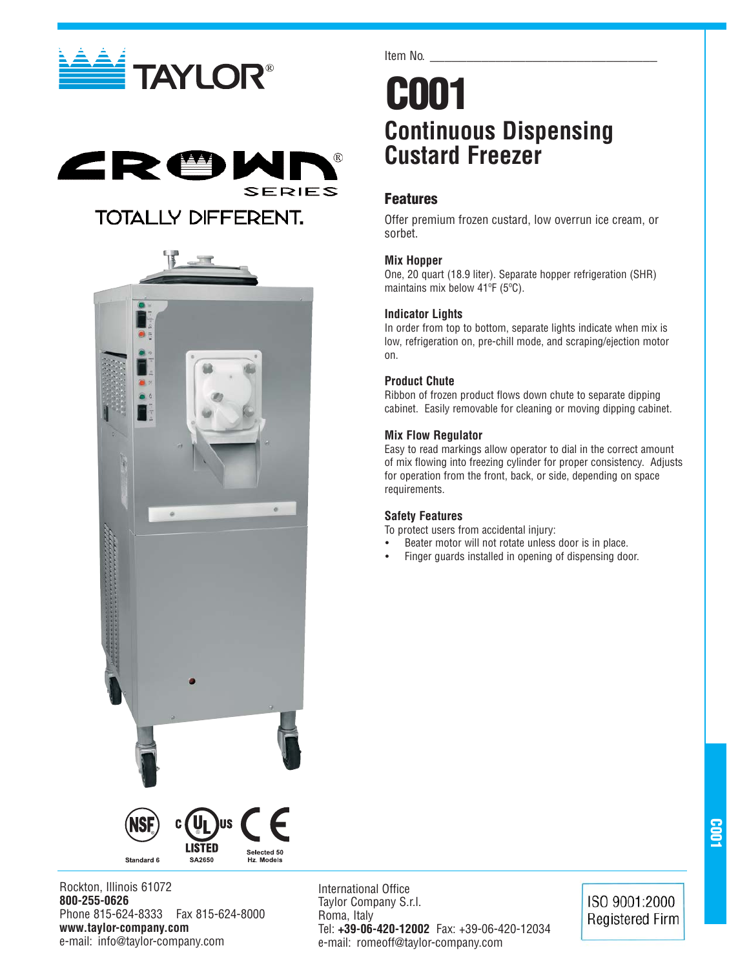





Item No.

### **C001 Continuous Dispensing Custard Freezer**

### **Features**

Offer premium frozen custard, low overrun ice cream, or sorbet.

### **Mix Hopper**

One, 20 quart (18.9 liter). Separate hopper refrigeration (SHR) maintains mix below 41ºF (5ºC).

### **Indicator Lights**

In order from top to bottom, separate lights indicate when mix is low, refrigeration on, pre-chill mode, and scraping/ejection motor on.

### **Product Chute**

Ribbon of frozen product flows down chute to separate dipping cabinet. Easily removable for cleaning or moving dipping cabinet.

### **Mix Flow Regulator**

Easy to read markings allow operator to dial in the correct amount of mix flowing into freezing cylinder for proper consistency. Adjusts for operation from the front, back, or side, depending on space requirements.

### **Safety Features**

To protect users from accidental injury:

- Beater motor will not rotate unless door is in place.
- Finger guards installed in opening of dispensing door.



**800-255-0626** Phone 815-624-8333 Fax 815-624-8000 **www.taylor-company.com** e-mail: info@taylor-company.com

International Office Taylor Company S.r.l. Roma, Italy Tel: **+39-06-420-12002** Fax: +39-06-420-12034 e-mail: romeoff@taylor-company.com